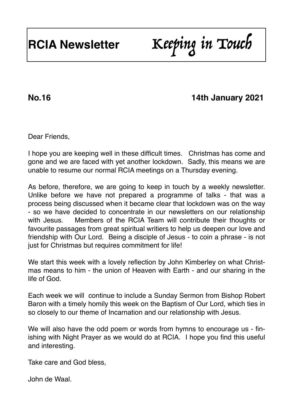**No.16 14th January 2021**

Dear Friends,

I hope you are keeping well in these difficult times. Christmas has come and gone and we are faced with yet another lockdown. Sadly, this means we are unable to resume our normal RCIA meetings on a Thursday evening.

As before, therefore, we are going to keep in touch by a weekly newsletter. Unlike before we have not prepared a programme of talks - that was a process being discussed when it became clear that lockdown was on the way - so we have decided to concentrate in our newsletters on our relationship with Jesus. Members of the RCIA Team will contribute their thoughts or favourite passages from great spiritual writiers to help us deepen our love and friendship with Our Lord. Being a disciple of Jesus - to coin a phrase - is not just for Christmas but requires commitment for life!

We start this week with a lovely reflection by John Kimberley on what Christmas means to him - the union of Heaven with Earth - and our sharing in the life of God.

Each week we will continue to include a Sunday Sermon from Bishop Robert Baron with a timely homily this week on the Baptism of Our Lord, which ties in so closely to our theme of Incarnation and our relationship with Jesus.

We will also have the odd poem or words from hymns to encourage us - finishing with Night Prayer as we would do at RCIA. I hope you find this useful and interesting.

Take care and God bless,

John de Waal.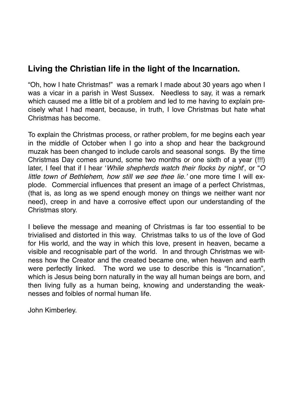## **Living the Christian life in the light of the Incarnation.**

"Oh, how I hate Christmas!" was a remark I made about 30 years ago when I was a vicar in a parish in West Sussex. Needless to say, it was a remark which caused me a little bit of a problem and led to me having to explain precisely what I had meant, because, in truth, I love Christmas but hate what Christmas has become.

To explain the Christmas process, or rather problem, for me begins each year in the middle of October when I go into a shop and hear the background muzak has been changed to include carols and seasonal songs. By the time Christmas Day comes around, some two months or one sixth of a year (!!!) later, I feel that if I hear '*While shepherds watch their flocks by night*', or "*O little town of Bethlehem, how still we see thee lie.'* one more time I will explode. Commercial influences that present an image of a perfect Christmas, (that is, as long as we spend enough money on things we neither want nor need), creep in and have a corrosive effect upon our understanding of the Christmas story.

I believe the message and meaning of Christmas is far too essential to be trivialised and distorted in this way. Christmas talks to us of the love of God for His world, and the way in which this love, present in heaven, became a visible and recognisable part of the world. In and through Christmas we witness how the Creator and the created became one, when heaven and earth were perfectly linked. The word we use to describe this is "Incarnation", which is Jesus being born naturally in the way all human beings are born, and then living fully as a human being, knowing and understanding the weaknesses and foibles of normal human life.

John Kimberley.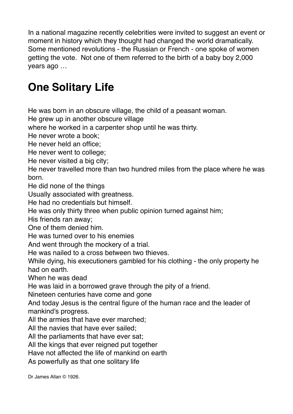In a national magazine recently celebrities were invited to suggest an event or moment in history which they thought had changed the world dramatically. Some mentioned revolutions - the Russian or French - one spoke of women getting the vote. Not one of them referred to the birth of a baby boy 2,000 years ago …

# **One Solitary Life**

He was born in an obscure village, the child of a peasant woman.

He grew up in another obscure village

where he worked in a carpenter shop until he was thirty.

He never wrote a book;

He never held an office;

He never went to college;

He never visited a big city;

He never travelled more than two hundred miles from the place where he was born.

He did none of the things

Usually associated with greatness.

He had no credentials but himself.

He was only thirty three when public opinion turned against him;

His friends ran away;

One of them denied him.

He was turned over to his enemies

And went through the mockery of a trial.

He was nailed to a cross between two thieves.

While dying, his executioners gambled for his clothing - the only property he had on earth.

When he was dead

He was laid in a borrowed grave through the pity of a friend.

Nineteen centuries have come and gone

And today Jesus is the central figure of the human race and the leader of mankind's progress.

All the armies that have ever marched;

All the navies that have ever sailed;

All the parliaments that have ever sat;

All the kings that ever reigned put together

Have not affected the life of mankind on earth

As powerfully as that one solitary life